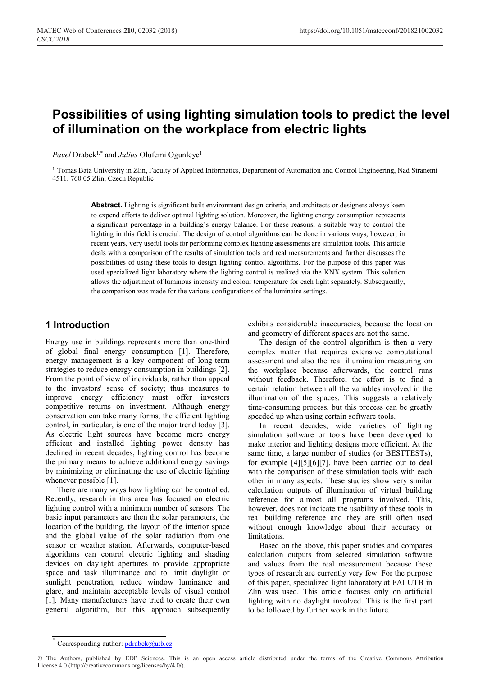# **Possibilities of using lighting simulation tools to predict the level of illumination on the workplace from electric lights**

*Pavel* Drabek<sup>1,\*</sup> and *Julius* Olufemi Ogunleye<sup>1</sup>

<sup>1</sup> Tomas Bata University in Zlin, Faculty of Applied Informatics, Department of Automation and Control Engineering, Nad Stranemi 4511, 760 05 Zlin, Czech Republic

> **Abstract.** Lighting is significant built environment design criteria, and architects or designers always keen to expend efforts to deliver optimal lighting solution. Moreover, the lighting energy consumption represents a significant percentage in a building's energy balance. For these reasons, a suitable way to control the lighting in this field is crucial. The design of control algorithms can be done in various ways, however, in recent years, very useful tools for performing complex lighting assessments are simulation tools. This article deals with a comparison of the results of simulation tools and real measurements and further discusses the possibilities of using these tools to design lighting control algorithms. For the purpose of this paper was used specialized light laboratory where the lighting control is realized via the KNX system. This solution allows the adjustment of luminous intensity and colour temperature for each light separately. Subsequently, the comparison was made for the various configurations of the luminaire settings.

# **1 Introduction**

Energy use in buildings represents more than one-third of global final energy consumption [1]. Therefore, energy management is a key component of long-term strategies to reduce energy consumption in buildings [2]. From the point of view of individuals, rather than appeal to the investors' sense of society; thus measures to improve energy efficiency must offer investors competitive returns on investment. Although energy conservation can take many forms, the efficient lighting control, in particular, is one of the major trend today [3]. As electric light sources have become more energy efficient and installed lighting power density has declined in recent decades, lighting control has become the primary means to achieve additional energy savings by minimizing or eliminating the use of electric lighting whenever possible [1].

There are many ways how lighting can be controlled. Recently, research in this area has focused on electric lighting control with a minimum number of sensors. The basic input parameters are then the solar parameters, the location of the building, the layout of the interior space and the global value of the solar radiation from one sensor or weather station. Afterwards, computer-based algorithms can control electric lighting and shading devices on daylight apertures to provide appropriate space and task illuminance and to limit daylight or sunlight penetration, reduce window luminance and glare, and maintain acceptable levels of visual control [1]. Many manufacturers have tried to create their own general algorithm, but this approach subsequently exhibits considerable inaccuracies, because the location and geometry of different spaces are not the same.

The design of the control algorithm is then a very complex matter that requires extensive computational assessment and also the real illumination measuring on the workplace because afterwards, the control runs without feedback. Therefore, the effort is to find a certain relation between all the variables involved in the illumination of the spaces. This suggests a relatively time-consuming process, but this process can be greatly speeded up when using certain software tools.

In recent decades, wide varieties of lighting simulation software or tools have been developed to make interior and lighting designs more efficient. At the same time, a large number of studies (or BESTTESTs), for example [4][5][6][7], have been carried out to deal with the comparison of these simulation tools with each other in many aspects. These studies show very similar calculation outputs of illumination of virtual building reference for almost all programs involved. This, however, does not indicate the usability of these tools in real building reference and they are still often used without enough knowledge about their accuracy or limitations.

Based on the above, this paper studies and compares calculation outputs from selected simulation software and values from the real measurement because these types of research are currently very few. For the purpose of this paper, specialized light laboratory at FAI UTB in Zlin was used. This article focuses only on artificial lighting with no daylight involved. This is the first part to be followed by further work in the future.

Corresponding author: pdrabek@utb.cz

<sup>©</sup> The Authors, published by EDP Sciences. This is an open access article distributed under the terms of the Creative Commons Attribution License 4.0 (http://creativecommons.org/licenses/by/4.0/).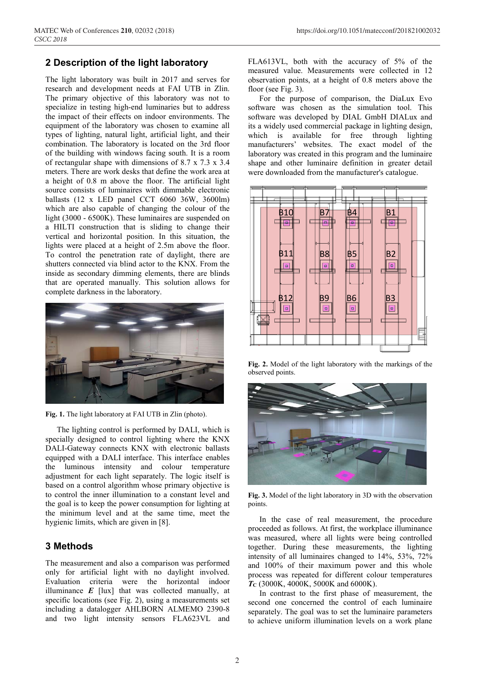### **2 Description of the light laboratory**

The light laboratory was built in 2017 and serves for research and development needs at FAI UTB in Zlin. The primary objective of this laboratory was not to specialize in testing high-end luminaries but to address the impact of their effects on indoor environments. The equipment of the laboratory was chosen to examine all types of lighting, natural light, artificial light, and their combination. The laboratory is located on the 3rd floor of the building with windows facing south. It is a room of rectangular shape with dimensions of 8.7 x 7.3 x 3.4 meters. There are work desks that define the work area at a height of 0.8 m above the floor. The artificial light source consists of luminaires with dimmable electronic ballasts (12 x LED panel CCT 6060 36W, 3600lm) which are also capable of changing the colour of the light (3000 - 6500K). These luminaires are suspended on a HILTI construction that is sliding to change their vertical and horizontal position. In this situation, the lights were placed at a height of 2.5m above the floor. To control the penetration rate of daylight, there are shutters connected via blind actor to the KNX. From the inside as secondary dimming elements, there are blinds that are operated manually. This solution allows for complete darkness in the laboratory.



**Fig. 1.** The light laboratory at FAI UTB in Zlin (photo).

The lighting control is performed by DALI, which is specially designed to control lighting where the KNX DALI-Gateway connects KNX with electronic ballasts equipped with a DALI interface. This interface enables the luminous intensity and colour temperature adjustment for each light separately. The logic itself is based on a control algorithm whose primary objective is to control the inner illumination to a constant level and the goal is to keep the power consumption for lighting at the minimum level and at the same time, meet the hygienic limits, which are given in [8].

### **3 Methods**

The measurement and also a comparison was performed only for artificial light with no daylight involved. Evaluation criteria were the horizontal indoor illuminance  $E$  [lux] that was collected manually, at specific locations (see Fig. 2), using a measurements set including a datalogger AHLBORN ALMEMO 2390-8 and two light intensity sensors FLA623VL and FLA613VL, both with the accuracy of 5% of the measured value. Measurements were collected in 12 observation points, at a height of 0.8 meters above the floor (see Fig. 3).

For the purpose of comparison, the DiaLux Evo software was chosen as the simulation tool. This software was developed by DIAL GmbH DIALux and its a widely used commercial package in lighting design, which is available for free through lighting manufacturers' websites. The exact model of the laboratory was created in this program and the luminaire shape and other luminaire definition in greater detail were downloaded from the manufacturer's catalogue.



**Fig. 2.** Model of the light laboratory with the markings of the observed points.



**Fig. 3.** Model of the light laboratory in 3D with the observation points.

In the case of real measurement, the procedure proceeded as follows. At first, the workplace illuminance was measured, where all lights were being controlled together. During these measurements, the lighting intensity of all luminaires changed to 14%, 53%, 72% and 100% of their maximum power and this whole process was repeated for different colour temperatures *T***<sup>C</sup>** (3000K, 4000K, 5000K and 6000K).

In contrast to the first phase of measurement, the second one concerned the control of each luminaire separately. The goal was to set the luminaire parameters to achieve uniform illumination levels on a work plane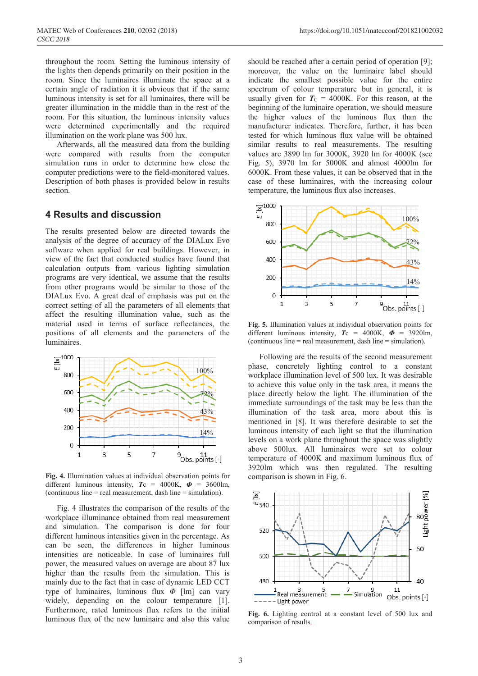throughout the room. Setting the luminous intensity of the lights then depends primarily on their position in the room. Since the luminaires illuminate the space at a certain angle of radiation it is obvious that if the same luminous intensity is set for all luminaires, there will be greater illumination in the middle than in the rest of the room. For this situation, the luminous intensity values were determined experimentally and the required illumination on the work plane was 500 lux.

Afterwards, all the measured data from the building were compared with results from the computer simulation runs in order to determine how close the computer predictions were to the field-monitored values. Description of both phases is provided below in results section.

#### **4 Results and discussion**

The results presented below are directed towards the analysis of the degree of accuracy of the DIALux Evo software when applied for real buildings. However, in view of the fact that conducted studies have found that calculation outputs from various lighting simulation programs are very identical, we assume that the results from other programs would be similar to those of the DIALux Evo. A great deal of emphasis was put on the correct setting of all the parameters of all elements that affect the resulting illumination value, such as the material used in terms of surface reflectances, the positions of all elements and the parameters of the luminaires.



**Fig. 4.** Illumination values at individual observation points for different luminous intensity,  $T_c = 4000K$ ,  $\Phi = 3600$ lm, (continuous line = real measurement, dash line = simulation).

Fig. 4 illustrates the comparison of the results of the workplace illuminance obtained from real measurement and simulation. The comparison is done for four different luminous intensities given in the percentage. As can be seen, the differences in higher luminous intensities are noticeable. In case of luminaires full power, the measured values on average are about 87 lux higher than the results from the simulation. This is mainly due to the fact that in case of dynamic LED CCT type of luminaires, luminous flux *Φ* [lm] can vary widely, depending on the colour temperature [1]. Furthermore, rated luminous flux refers to the initial luminous flux of the new luminaire and also this value

should be reached after a certain period of operation [9]; moreover, the value on the luminaire label should indicate the smallest possible value for the entire spectrum of colour temperature but in general, it is usually given for  $T<sub>C</sub> = 4000$ K. For this reason, at the beginning of the luminaire operation, we should measure the higher values of the luminous flux than the manufacturer indicates. Therefore, further, it has been tested for which luminous flux value will be obtained similar results to real measurements. The resulting values are 3890 lm for 3000K, 3920 lm for 4000K (see Fig. 5), 3970 lm for 5000K and almost 4000lm for 6000K. From these values, it can be observed that in the case of these luminaires, with the increasing colour temperature, the luminous flux also increases.



**Fig. 5.** Illumination values at individual observation points for different luminous intensity,  $T_c = 4000K$ ,  $\Phi = 3920 \text{lm}$ , (continuous line = real measurement, dash line = simulation).

Following are the results of the second measurement phase, concretely lighting control to a constant workplace illumination level of 500 lux. It was desirable to achieve this value only in the task area, it means the place directly below the light. The illumination of the immediate surroundings of the task may be less than the illumination of the task area, more about this is mentioned in [8]. It was therefore desirable to set the luminous intensity of each light so that the illumination levels on a work plane throughout the space was slightly above 500lux. All luminaires were set to colour temperature of 4000K and maximum luminous flux of 3920lm which was then regulated. The resulting comparison is shown in Fig. 6.



**Fig. 6.** Lighting control at a constant level of 500 lux and comparison of results.